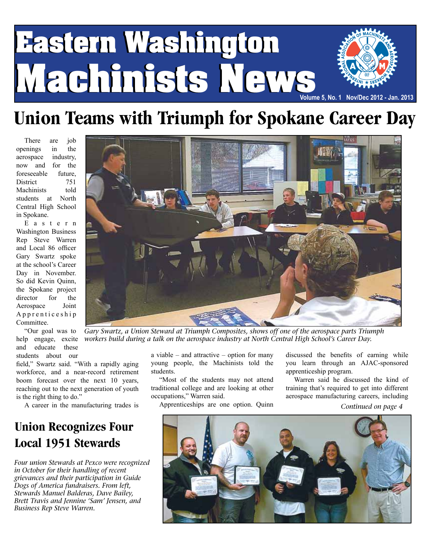# **Eastern Washington Eastern Washington Machinists News Machinists News Volume 5, No. 1 Nov/Dec 2012 - Jan. 2013**

### **Union Teams with Triumph for Spokane Career Day**

There are job openings in the aerospace industry, now and for the foreseeable future, District 751 Machinists told students at North Central High School in Spokane.

E a s t e r n Washington Business Rep Steve Warren and Local 86 officer Gary Swartz spoke at the school's Career Day in November. So did Kevin Quinn, the Spokane project director for the Aerospace Joint

students about our

A p p r e n t i c e s h i p Committee. "Our goal was to help engage, excite and educate these

field," Swartz said. "With a rapidly aging workforce, and a near-record retirement boom forecast over the next 10 years, reaching out to the next generation of youth is the right thing to do."

A career in the manufacturing trades is

### **Union Recognizes Four Local 1951 Stewards**

*Four union Stewards at Pexco were recognized in October for their handling of recent grievances and their participation in Guide Dogs of America fundraisers. From left, Stewards Manuel Balderas, Dave Bailey, Brett Travis and Jennine 'Sam' Jensen, and Business Rep Steve Warren.*



*Gary Swartz, a Union Steward at Triumph Composites, shows off one of the aerospace parts Triumph workers build during a talk on the aerospace industry at North Central High School's Career Day.*

a viable – and attractive – option for many young people, the Machinists told the students.

"Most of the students may not attend traditional college and are looking at other occupations," Warren said.

Apprenticeships are one option. Quinn

discussed the benefits of earning while you learn through an AJAC-sponsored apprenticeship program.

Warren said he discussed the kind of training that's required to get into different aerospace manufacturing careers, including

*Continued on page 4*

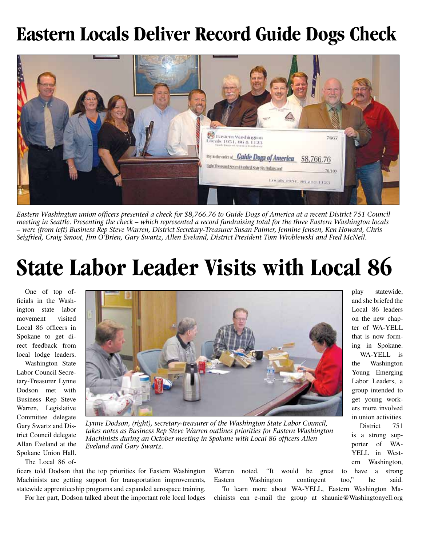### **Eastern Locals Deliver Record Guide Dogs Check**



*Eastern Washington union officers presented a check for \$8,766.76 to Guide Dogs of America at a recent District 751 Council meeting in Seattle. Presenting the check – which represented a record fundraising total for the three Eastern Washington locals – were (from left) Business Rep Steve Warren, District Secretary-Treasurer Susan Palmer, Jennine Jensen, Ken Howard, Chris Seigfried, Craig Smoot, Jim O'Brien, Gary Swartz, Allen Eveland, District President Tom Wroblewski and Fred McNeil.*

# **State Labor Leader Visits with Local 86**

One of top officials in the Washington state labor movement visited Local 86 officers in Spokane to get direct feedback from local lodge leaders.

Washington State Labor Council Secretary-Treasurer Lynne Dodson met with Business Rep Steve Warren, Legislative Committee delegate Gary Swartz and District Council delegate Allan Eveland at the Spokane Union Hall.



*Lynne Dodson, (right), secretary-treasurer of the Washington State Labor Council, takes notes as Business Rep Steve Warren outlines priorities for Eastern Washington Machinists during an October meeting in Spokane with Local 86 officers Allen Eveland and Gary Swartz.*

The Local 86 of-

ficers told Dodson that the top priorities for Eastern Washington Machinists are getting support for transportation improvements, statewide apprenticeship programs and expanded aerospace training.

For her part, Dodson talked about the important role local lodges

Warren noted. "It would be great to have a strong Eastern Washington contingent too," he said. To learn more about WA-YELL, Eastern Washington Machinists can e-mail the group at shaunie@Washingtonyell.org

play statewide, and she briefed the Local 86 leaders on the new chapter of WA-YELL that is now forming in Spokane.

WA-YELL is the Washington Young Emerging Labor Leaders, a group intended to get young workers more involved in union activities.

District 751 is a strong supporter of WA-YELL in Western Washington,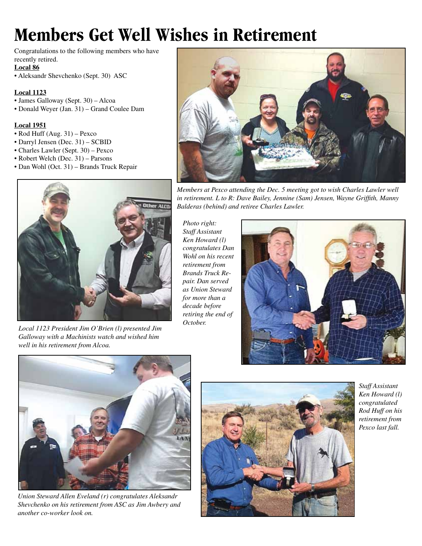## **Members Get Well Wishes in Retirement**

Congratulations to the following members who have recently retired.

**Local 86**

• Aleksandr Shevchenko (Sept. 30) ASC

#### **Local 1123**

- James Galloway (Sept. 30) Alcoa
- Donald Weyer (Jan. 31) Grand Coulee Dam

#### **Local 1951**

- Rod Huff (Aug. 31) Pexco
- Darryl Jensen (Dec. 31) SCBID
- Charles Lawler (Sept. 30) Pexco
- Robert Welch (Dec. 31) Parsons
- Dan Wohl (Oct. 31) Brands Truck Repair



*Members at Pexco attending the Dec. 5 meeting got to wish Charles Lawler well in retirement. L to R: Dave Bailey, Jennine (Sam) Jensen, Wayne Griffith, Manny Balderas (behind) and retiree Charles Lawler.* 



*Local 1123 President Jim O'Brien (l) presented Jim Galloway with a Machinists watch and wished him well in his retirement from Alcoa.*

*Photo right: Staff Assistant Ken Howard (l) congratulates Dan Wohl on his recent retirement from Brands Truck Repair. Dan served as Union Steward for more than a decade before retiring the end of October.* 





*Union Steward Allen Eveland (r) congratulates Aleksandr Shevchenko on his retirement from ASC as Jim Awbery and another co-worker look on.*



*Staff Assistant Ken Howard (l) congratulated Rod Huff on his retirement from Pexco last fall.*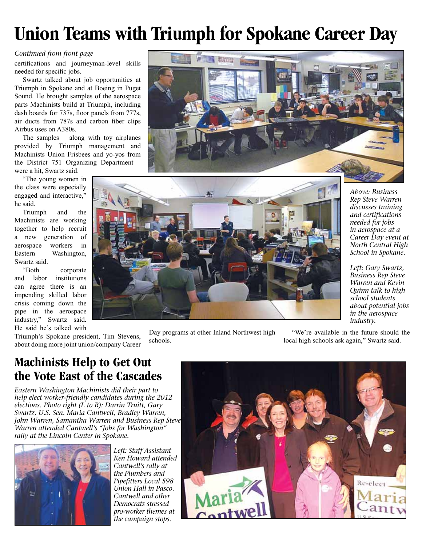## **Union Teams with Triumph for Spokane Career Day**

#### *Continued from front page*

certifications and journeyman-level skills needed for specific jobs.

Swartz talked about job opportunities at Triumph in Spokane and at Boeing in Puget Sound. He brought samples of the aerospace parts Machinists build at Triumph, including dash boards for 737s, floor panels from 777s, air ducts from 787s and carbon fiber clips Airbus uses on A380s.

The samples – along with toy airplanes provided by Triumph management and Machinists Union Frisbees and yo-yos from the District 751 Organizing Department – were a hit, Swartz said.

"The young women in the class were especially engaged and interactive," he said.

Triumph and the Machinists are working together to help recruit a new generation of aerospace workers in Eastern Washington, Swartz said.

"Both corporate and labor institutions can agree there is an impending skilled labor crisis coming down the pipe in the aerospace industry," Swartz said. He said he's talked with

Triumph's Spokane president, Tim Stevens, about doing more joint union/company Career





Day programs at other Inland Northwest high schools.

*Above: Business Rep Steve Warren discusses training and certifications needed for jobs in aerospace at a Career Day event at North Central High School in Spokane.*

*Left: Gary Swartz, Business Rep Steve Warren and Kevin Quinn talk to high school students about potential jobs in the aerospace industry.*

"We're available in the future should the local high schools ask again," Swartz said.

### **Machinists Help to Get Out the Vote East of the Cascades**

*Eastern Washington Machinists did their part to help elect worker-friendly candidates during the 2012 elections. Photo right (L to R): Darrin Truitt, Gary Swartz, U.S. Sen. Maria Cantwell, Bradley Warren, John Warren, Samantha Warren and Business Rep Steve Warren attended Cantwell's "Jobs for Washington" rally at the Lincoln Center in Spokane.* 



*Left: Staff Assistant Ken Howard attended Cantwell's rally at the Plumbers and Pipefitters Local 598 Union Hall in Pasco. Cantwell and other Democrats stressed pro-worker themes at the campaign stops.*

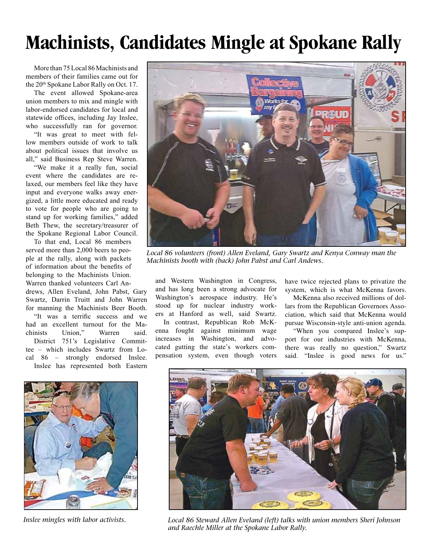### **Machinists, Candidates Mingle at Spokane Rally**

More than 75 Local 86 Machinists and members of their families came out for the 20<sup>th</sup> Spokane Labor Rally on Oct. 17.

The event allowed Spokane-area union members to mix and mingle with labor-endorsed candidates for local and statewide offices, including Jay Inslee, who successfully ran for governor.

"It was great to meet with fellow members outside of work to talk about political issues that involve us all," said Business Rep Steve Warren.

"We make it a really fun, social event where the candidates are relaxed, our members feel like they have input and everyone walks away energized, a little more educated and ready to vote for people who are going to stand up for working families," added Beth Thew, the secretary/treasurer of the Spokane Regional Labor Council.

To that end, Local 86 members served more than 2,000 beers to people at the rally, along with packets of information about the benefits of belonging to the Machinists Union.

Warren thanked volunteers Carl Andrews, Allen Eveland, John Pabst, Gary Swartz, Darrin Truitt and John Warren for manning the Machinists Beer Booth. "It was a terrific success and we had an excellent turnout for the Machinists Union," Warren said. District 751's Legislative Committee – which includes Swartz from Local 86 – strongly endorsed Inslee. Inslee has represented both Eastern



*Local 86 volunteers (front) Allen Eveland, Gary Swartz and Kenya Conway man the Machinists booth with (back) John Pabst and Carl Andews.* 

and Western Washington in Congress, and has long been a strong advocate for Washington's aerospace industry. He's stood up for nuclear industry workers at Hanford as well, said Swartz. In contrast, Republican Rob McKenna fought against minimum wage increases in Washington, and advocated gutting the state's workers compensation system, even though voters

have twice rejected plans to privatize the system, which is what McKenna favors.

McKenna also received millions of dollars from the Republican Governors Association, which said that McKenna would pursue Wisconsin-style anti-union agenda.

"When you compared Inslee's support for our industries with McKenna, there was really no question," Swartz said. "Inslee is good news for us."



*Inslee mingles with labor activists.*



*Local 86 Steward Allen Eveland (left) talks with union members Sheri Johnson and Raechle Miller at the Spokane Labor Rally.*